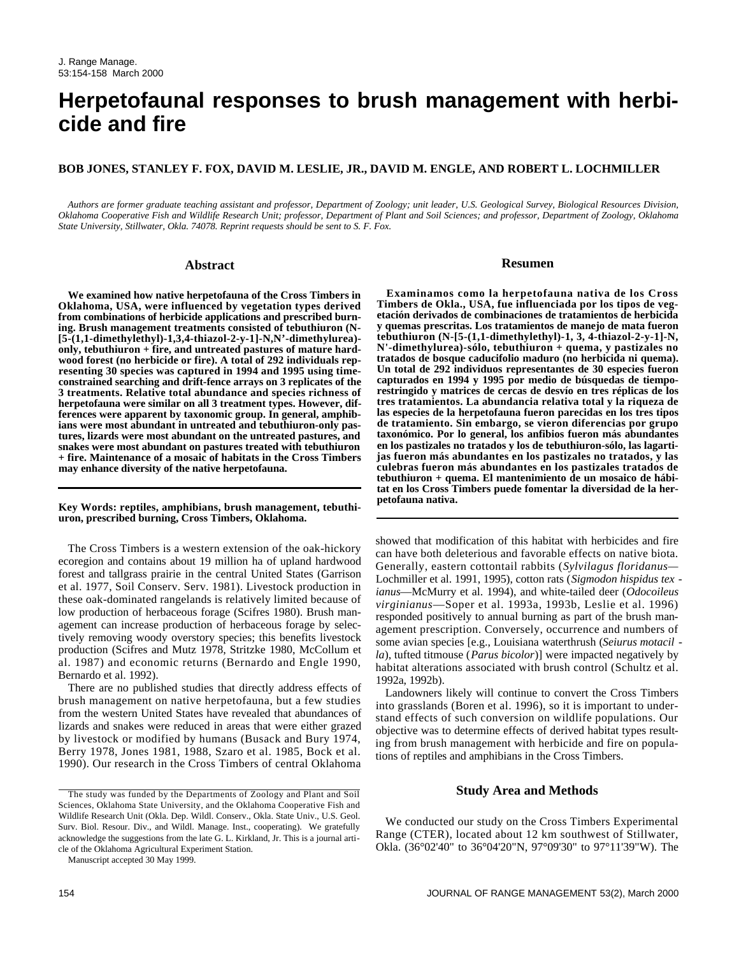# **Herpetofaunal responses to brush management with herbicide and fire**

## **BOB JONES, STANLEY F. FOX, DAVID M. LESLIE, JR., DAVID M. ENGLE, AND ROBERT L. LOCHMILLER**

*Authors are former graduate teaching assistant and professor, Department of Zoology; unit leader, U.S. Geological Survey, Biological Resources Division, Oklahoma Cooperative Fish and Wildlife Research Unit; professor, Department of Plant and Soil Sciences; and professor, Department of Zoology, Oklahoma State University, Stillwater, Okla. 74078. Reprint requests should be sent to S. F. Fox.*

## **Abstract**

**We examined how native herpetofauna of the Cross Timbers in Oklahoma, USA, were influenced by vegetation types derived from combinations of herbicide applications and prescribed burning. Brush management treatments consisted of tebuthiuron (N-** [5-(1,1-dimethylethyl)-1,3,4-thiazol-2-y-1]-N,N'-dimethylurea)**only, tebuthiuron + fire, and untreated pastures of mature hardwood forest (no herbicide or fire). A total of 292 individuals representing 30 species was captured in 1994 and 1995 using timeconstrained searching and drift-fence arrays on 3 replicates of the 3 treatments. Relative total abundance and species richness of herpetofauna were similar on all 3 treatment types. However, differences were apparent by taxonomic group. In general, amphibians were most abundant in untreated and tebuthiuron-only pastures, lizards were most abundant on the untreated pastures, and snakes were most abundant on pastures treated with tebuthiuron + fire. Maintenance of a mosaic of habitats in the Cross Timbers may enhance diversity of the native herpetofauna.** 

#### **Key Words: reptiles, amphibians, brush management, tebuthiuron, prescribed burning, Cross Timbers, Oklahoma.**

The Cross Timbers is a western extension of the oak-hickory ecoregion and contains about 19 million ha of upland hardwood forest and tallgrass prairie in the central United States (Garrison et al. 1977, Soil Conserv. Serv. 1981). Livestock production in these oak-dominated rangelands is relatively limited because of low production of herbaceous forage (Scifres 1980). Brush management can increase production of herbaceous forage by selectively removing woody overstory species; this benefits livestock production (Scifres and Mutz 1978, Stritzke 1980, McCollum et al. 1987) and economic returns (Bernardo and Engle 1990, Bernardo et al. 1992).

There are no published studies that directly address effects of brush management on native herpetofauna, but a few studies from the western United States have revealed that abundances of lizards and snakes were reduced in areas that were either grazed by livestock or modified by humans (Busack and Bury 1974, Berry 1978, Jones 1981, 1988, Szaro et al. 1985, Bock et al. 1990). Our research in the Cross Timbers of central Oklahoma

Manuscript accepted 30 May 1999.

#### **Resumen**

**Examinamos como la herpetofauna nativa de los Cross Timbers de Okla., USA, fue influenciada por los tipos de vegetación derivados de combinaciones de tratamientos de herbicida y quemas prescritas. Los tratamientos de manejo de mata fueron tebuthiuron (N-[5-(1,1-dimethylethyl)-1, 3, 4-thiazol-2-y-1]-N, N'-dimethylurea)-sólo, tebuthiuron + quema, y pastizales no tratados de bosque caducifolio maduro (no herbicida ni quema). Un total de 292 individuos representantes de 30 especies fueron capturados en 1994 y 1995 por medio de búsquedas de tiemporestringido y matrices de cercas de desvío en tres réplicas de los tres tratamientos. La abundancia relativa total y la riqueza de las especies de la herpetofauna fueron parecidas en los tres tipos de tratamiento. Sin embargo, se vieron diferencias por grupo taxonómico. Por lo general, los anfibios fueron más abundantes en los pastizales no tratados y los de tebuthiuron-sólo, las lagartijas fueron más abundantes en los pastizales no tratados, y las culebras fueron más abundantes en los pastizales tratados de tebuthiuron + quema. El mantenimiento de un mosaico de hábitat en los Cross Timbers puede fomentar la diversidad de la herpetofauna nativa.**

showed that modification of this habitat with herbicides and fire can have both deleterious and favorable effects on native biota. Generally, eastern cottontail rabbits (*Sylvilagus floridanus—* Lochmiller et al. 1991, 1995), cotton rats (*Sigmodon hispidus tex ianus*—McMurry et al. 1994), and white-tailed deer (*Odocoileus virginianus*—Soper et al. 1993a, 1993b, Leslie et al. 1996) responded positively to annual burning as part of the brush management prescription. Conversely, occurrence and numbers of some avian species [e.g., Louisiana waterthrush (*Seiurus motacil la*), tufted titmouse (*Parus bicolor*)] were impacted negatively by habitat alterations associated with brush control (Schultz et al. 1992a, 1992b).

Landowners likely will continue to convert the Cross Timbers into grasslands (Boren et al. 1996), so it is important to understand effects of such conversion on wildlife populations. Our objective was to determine effects of derived habitat types resulting from brush management with herbicide and fire on populations of reptiles and amphibians in the Cross Timbers.

### **Study Area and Methods**

We conducted our study on the Cross Timbers Experimental Range (CTER), located about 12 km southwest of Stillwater, Okla. (36°02'40" to 36°04'20"N, 97°09'30" to 97°11'39"W). The

The study was funded by the Departments of Zoology and Plant and Soil Sciences, Oklahoma State University, and the Oklahoma Cooperative Fish and Wildlife Research Unit (Okla. Dep. Wildl. Conserv., Okla. State Univ., U.S. Geol. Surv. Biol. Resour. Div., and Wildl. Manage. Inst., cooperating). We gratefully acknowledge the suggestions from the late G. L. Kirkland, Jr. This is a journal article of the Oklahoma Agricultural Experiment Station.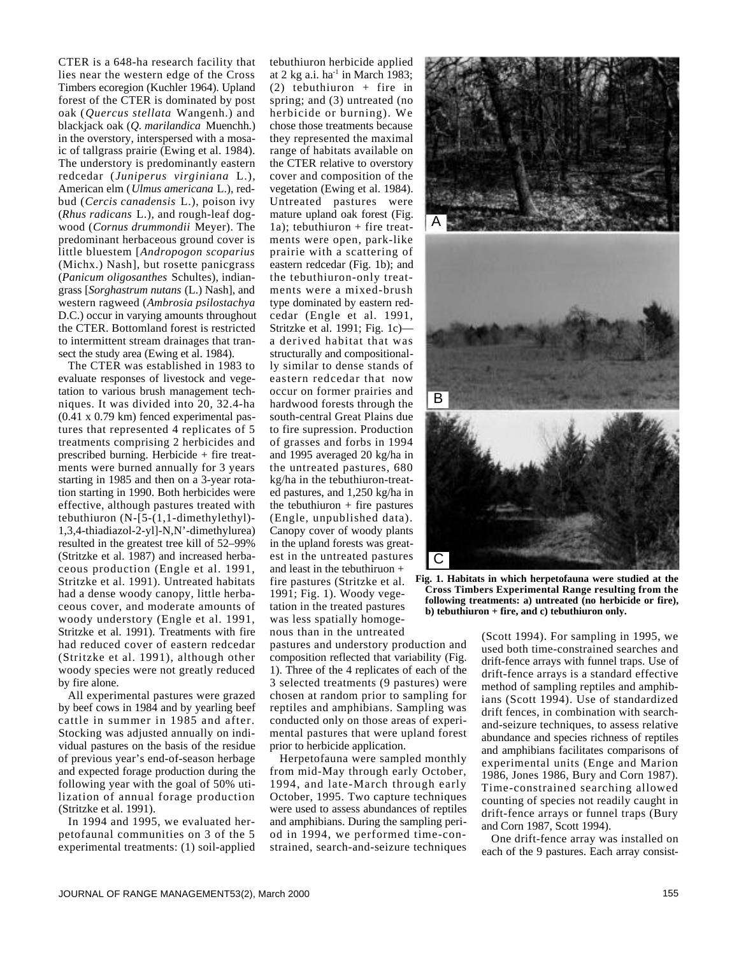CTER is a 648-ha research facility that lies near the western edge of the Cross Timbers ecoregion (Kuchler 1964). Upland forest of the CTER is dominated by post oak (*Quercus stellata* Wangenh.) and blackjack oak (Q. marilandica Muenchh.) in the overstory, interspersed with a mosaic of tallgrass prairie (Ewing et al. 1984). The understory is predominantly eastern redcedar (*Juniperus virginiana* L.), American elm (*Ulmus americana* L.), redbud (*Cercis canadensis* L.), poison ivy (*Rhus radicans* L.), and rough-leaf dogwood (*Cornus drummondii* Meyer). The predominant herbaceous ground cover is little bluestem [*Andropogon scoparius* (Michx.) Nash], but rosette panicgrass (*Panicum oligosanthes* Schultes), indiangrass [*Sorghastrum nutans* (L.) Nash], and western ragweed (*Ambrosia psilostachya* D.C.) occur in varying amounts throughout the CTER. Bottomland forest is restricted to intermittent stream drainages that transect the study area (Ewing et al. 1984).

The CTER was established in 1983 to evaluate responses of livestock and vegetation to various brush management techniques. It was divided into 20, 32.4-ha (0.41 x 0.79 km) fenced experimental pastures that represented 4 replicates of 5 treatments comprising 2 herbicides and prescribed burning. Herbicide + fire treatments were burned annually for 3 years starting in 1985 and then on a 3-year rotation starting in 1990. Both herbicides were effective, although pastures treated with tebuthiuron (N-[5-(1,1-dimethylethyl)- 1,3,4-thiadiazol-2-yl]-N,N'-dimethylurea) resulted in the greatest tree kill of 52–99% (Stritzke et al. 1987) and increased herbaceous production (Engle et al. 1991, Stritzke et al. 1991). Untreated habitats had a dense woody canopy, little herbaceous cover, and moderate amounts of woody understory (Engle et al. 1991, Stritzke et al. 1991). Treatments with fire had reduced cover of eastern redcedar (Stritzke et al. 1991), although other woody species were not greatly reduced by fire alone.

All experimental pastures were grazed by beef cows in 1984 and by yearling beef cattle in summer in 1985 and after. Stocking was adjusted annually on individual pastures on the basis of the residue of previous year's end-of-season herbage and expected forage production during the following year with the goal of 50% utilization of annual forage production (Stritzke et al. 1991).

In 1994 and 1995, we evaluated herpetofaunal communities on 3 of the 5 experimental treatments: (1) soil-applied tebuthiuron herbicide applied at 2 kg a.i.  $ha^{-1}$  in March 1983;  $(2)$  tebuthiuron + fire in spring; and (3) untreated (no herbicide or burning). We chose those treatments because they represented the maximal range of habitats available on the CTER relative to overstory cover and composition of the vegetation (Ewing et al. 1984). Untreated pastures were mature upland oak forest (Fig.  $1a$ ); tebuthiuron + fire treatments were open, park-like prairie with a scattering of eastern redcedar (Fig. 1b); and the tebuthiuron-only treatments were a mixed-brush type dominated by eastern redcedar (Engle et al. 1991, Stritzke et al. 1991; Fig. 1c) a derived habitat that was structurally and compositionally similar to dense stands of eastern redcedar that now occur on former prairies and hardwood forests through the south-central Great Plains due to fire supression. Production of grasses and forbs in 1994 and 1995 averaged 20 kg/ha in the untreated pastures, 680 kg/ha in the tebuthiuron-treated pastures, and 1,250 kg/ha in the tebuthiuron  $+$  fire pastures (Engle, unpublished data). Canopy cover of woody plants in the upland forests was greatest in the untreated pastures and least in the tebuthiruon + fire pastures (Stritzke et al. 1991; Fig. 1). Woody vegetation in the treated pastures was less spatially homogenous than in the untreated

pastures and understory production and composition reflected that variability (Fig. 1). Three of the 4 replicates of each of the 3 selected treatments (9 pastures) were chosen at random prior to sampling for reptiles and amphibians. Sampling was conducted only on those areas of experimental pastures that were upland forest prior to herbicide application.

Herpetofauna were sampled monthly from mid-May through early October, 1994, and late-March through early October, 1995. Two capture techniques were used to assess abundances of reptiles and amphibians. During the sampling period in 1994, we performed time-constrained, search-and-seizure techniques



**Fig. 1. Habitats in which herpetofauna were studied at the Cross Timbers Experimental Range resulting from the following treatments: a) untreated (no herbicide or fire), b) tebuthiuron + fire, and c) tebuthiuron only.**

(Scott 1994). For sampling in 1995, we used both time-constrained searches and drift-fence arrays with funnel traps. Use of drift-fence arrays is a standard effective method of sampling reptiles and amphibians (Scott 1994). Use of standardized drift fences, in combination with searchand-seizure techniques, to assess relative abundance and species richness of reptiles and amphibians facilitates comparisons of experimental units (Enge and Marion 1986, Jones 1986, Bury and Corn 1987). Time-constrained searching allowed counting of species not readily caught in drift-fence arrays or funnel traps (Bury and Corn 1987, Scott 1994).

One drift-fence array was installed on each of the 9 pastures. Each array consist-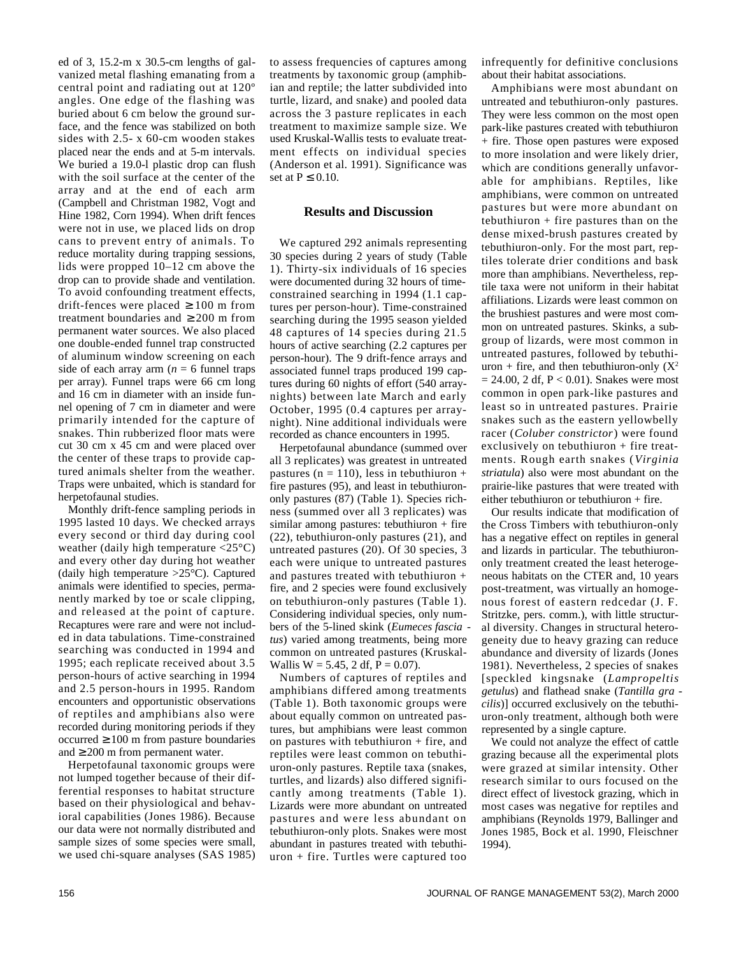ed of 3, 15.2-m x 30.5-cm lengths of galvanized metal flashing emanating from a central point and radiating out at 120º angles. One edge of the flashing was buried about 6 cm below the ground surface, and the fence was stabilized on both sides with 2.5- x 60-cm wooden stakes placed near the ends and at 5-m intervals. We buried a 19.0-l plastic drop can flush with the soil surface at the center of the array and at the end of each arm (Campbell and Christman 1982, Vogt and Hine 1982, Corn 1994). When drift fences were not in use, we placed lids on drop cans to prevent entry of animals. To reduce mortality during trapping sessions, lids were propped 10–12 cm above the drop can to provide shade and ventilation. To avoid confounding treatment effects, drift-fences were placed 100 m from treatment boundaries and 200 m from permanent water sources. We also placed one double-ended funnel trap constructed of aluminum window screening on each side of each array arm  $(n = 6 \text{ funnel traps})$ per array). Funnel traps were 66 cm long and 16 cm in diameter with an inside funnel opening of 7 cm in diameter and were primarily intended for the capture of snakes. Thin rubberized floor mats were cut 30 cm x 45 cm and were placed over the center of these traps to provide captured animals shelter from the weather. Traps were unbaited, which is standard for herpetofaunal studies.

Monthly drift-fence sampling periods in 1995 lasted 10 days. We checked arrays every second or third day during cool weather (daily high temperature  $\langle 25^{\circ}$ C) and every other day during hot weather (daily high temperature  $>25^{\circ}$ C). Captured animals were identified to species, permanently marked by toe or scale clipping, and released at the point of capture. Recaptures were rare and were not included in data tabulations. Time-constrained searching was conducted in 1994 and 1995; each replicate received about 3.5 person-hours of active searching in 1994 and 2.5 person-hours in 1995. Random encounters and opportunistic observations of reptiles and amphibians also were recorded during monitoring periods if they occurred 100 m from pasture boundaries and 200 m from permanent water.

Herpetofaunal taxonomic groups were not lumped together because of their differential responses to habitat structure based on their physiological and behavioral capabilities (Jones 1986). Because our data were not normally distributed and sample sizes of some species were small, we used chi-square analyses (SAS 1985) to assess frequencies of captures among treatments by taxonomic group (amphibian and reptile; the latter subdivided into turtle, lizard, and snake) and pooled data across the 3 pasture replicates in each treatment to maximize sample size. We used Kruskal-Wallis tests to evaluate treatment effects on individual species (Anderson et al. 1991). Significance was set at  $P = 0.10$ .

# **Results and Discussion**

We captured 292 animals representing 30 species during 2 years of study (Table 1). Thirty-six individuals of 16 species were documented during 32 hours of timeconstrained searching in 1994 (1.1 captures per person-hour). Time-constrained searching during the 1995 season yielded 48 captures of 14 species during 21.5 hours of active searching (2.2 captures per person-hour). The 9 drift-fence arrays and associated funnel traps produced 199 captures during 60 nights of effort (540 arraynights) between late March and early October, 1995 (0.4 captures per arraynight). Nine additional individuals were recorded as chance encounters in 1995.

Herpetofaunal abundance (summed over all 3 replicates) was greatest in untreated pastures ( $n = 110$ ), less in tebuthiuron + fire pastures (95), and least in tebuthiurononly pastures (87) (Table 1). Species richness (summed over all 3 replicates) was similar among pastures: tebuthiuron + fire (22), tebuthiuron-only pastures (21), and untreated pastures (20). Of 30 species, 3 each were unique to untreated pastures and pastures treated with tebuthiuron + fire, and 2 species were found exclusively on tebuthiuron-only pastures (Table 1). Considering individual species, only numbers of the 5-lined skink (*Eumeces fascia tus*) varied among treatments, being more common on untreated pastures (Kruskal-Wallis W =  $5.45$ , 2 df, P = 0.07).

Numbers of captures of reptiles and amphibians differed among treatments (Table 1). Both taxonomic groups were about equally common on untreated pastures, but amphibians were least common on pastures with tebuthiuron  $+$  fire, and reptiles were least common on tebuthiuron-only pastures. Reptile taxa (snakes, turtles, and lizards) also differed significantly among treatments (Table 1). Lizards were more abundant on untreated pastures and were less abundant on tebuthiuron-only plots. Snakes were most abundant in pastures treated with tebuthiuron + fire. Turtles were captured too infrequently for definitive conclusions about their habitat associations.

Amphibians were most abundant on untreated and tebuthiuron-only pastures. They were less common on the most open park-like pastures created with tebuthiuron + fire. Those open pastures were exposed to more insolation and were likely drier, which are conditions generally unfavorable for amphibians. Reptiles, like amphibians, were common on untreated pastures but were more abundant on tebuthiuron  $+$  fire pastures than on the dense mixed-brush pastures created by tebuthiuron-only. For the most part, reptiles tolerate drier conditions and bask more than amphibians. Nevertheless, reptile taxa were not uniform in their habitat affiliations. Lizards were least common on the brushiest pastures and were most common on untreated pastures. Skinks, a subgroup of lizards, were most common in untreated pastures, followed by tebuthiuron + fire, and then tebuthiuron-only  $(X^2)$  $= 24.00$ , 2 df, P < 0.01). Snakes were most common in open park-like pastures and least so in untreated pastures. Prairie snakes such as the eastern yellowbelly racer (*Coluber constrictor*) were found exclusively on tebuthiuron + fire treatments. Rough earth snakes (*Virginia*) *striatula*) also were most abundant on the prairie-like pastures that were treated with either tebuthiuron or tebuthiuron + fire.

Our results indicate that modification of the Cross Timbers with tebuthiuron-only has a negative effect on reptiles in general and lizards in particular. The tebuthiurononly treatment created the least heterogeneous habitats on the CTER and, 10 years post-treatment, was virtually an homogenous forest of eastern redcedar (J. F. Stritzke, pers. comm.), with little structural diversity. Changes in structural heterogeneity due to heavy grazing can reduce abundance and diversity of lizards (Jones 1981). Nevertheless, 2 species of snakes [speckled kingsnake (*Lampropeltis*) *getulus*) and flathead snake (*Tantilla gra cilis*)] occurred exclusively on the tebuthiuron-only treatment, although both were represented by a single capture.

We could not analyze the effect of cattle grazing because all the experimental plots were grazed at similar intensity. Other research similar to ours focused on the direct effect of livestock grazing, which in most cases was negative for reptiles and amphibians (Reynolds 1979, Ballinger and Jones 1985, Bock et al. 1990, Fleischner 1994).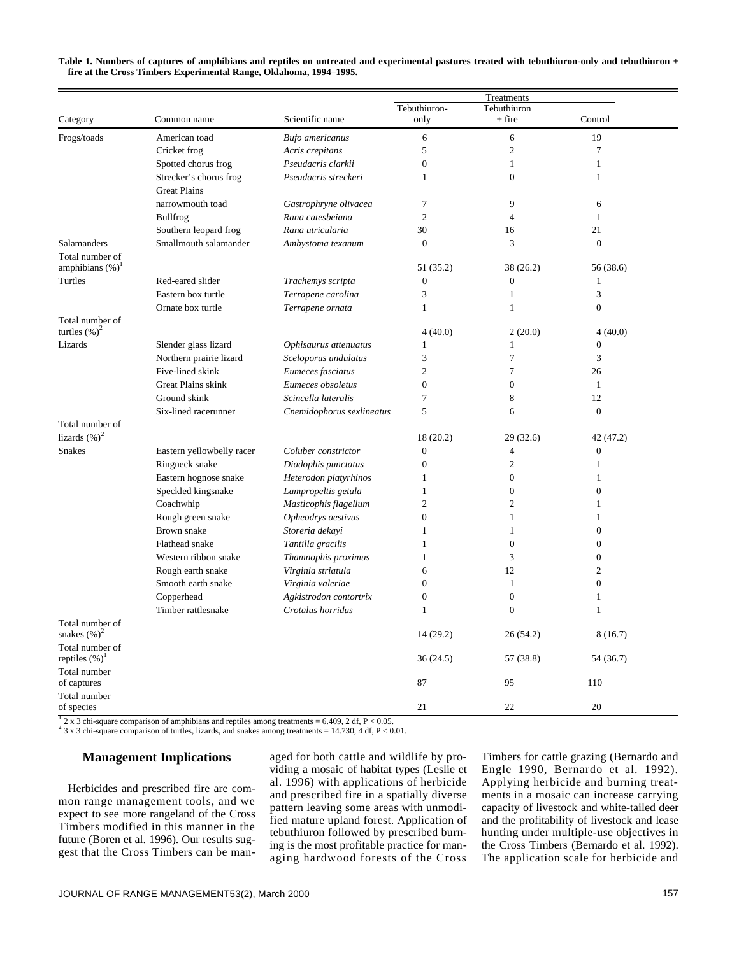| Category                               | Common name               |                           | Treatments       |                |                  |  |
|----------------------------------------|---------------------------|---------------------------|------------------|----------------|------------------|--|
|                                        |                           | Scientific name           | Tebuthiuron-     | Tebuthiuron    | Control          |  |
|                                        |                           |                           | only             | $+$ fire       |                  |  |
| Frogs/toads                            | American toad             | <b>Bufo</b> americanus    | 6                | 6              | 19               |  |
|                                        | Cricket frog              | Acris crepitans           | 5                | $\overline{2}$ | $\tau$           |  |
|                                        | Spotted chorus frog       | Pseudacris clarkii        | $\overline{0}$   | $\mathbf{1}$   | $\mathbf{1}$     |  |
|                                        | Strecker's chorus frog    | Pseudacris streckeri      | $\mathbf{1}$     | $\overline{0}$ | $\mathbf{1}$     |  |
|                                        | <b>Great Plains</b>       |                           |                  |                |                  |  |
|                                        | narrowmouth toad          | Gastrophryne olivacea     | $\tau$           | 9              | 6                |  |
|                                        | <b>Bullfrog</b>           | Rana catesbeiana          | $\overline{2}$   | 4              | $\mathbf{1}$     |  |
|                                        | Southern leopard frog     | Rana utricularia          | 30               | 16             | 21               |  |
| Salamanders                            | Smallmouth salamander     | Ambystoma texanum         | $\boldsymbol{0}$ | 3              | $\overline{0}$   |  |
| Total number of<br>amphibians $(\%)^1$ |                           |                           | 51 (35.2)        | 38 (26.2)      | 56 (38.6)        |  |
| Turtles                                | Red-eared slider          | Trachemys scripta         | $\boldsymbol{0}$ | $\overline{0}$ | $\mathbf{1}$     |  |
|                                        | Eastern box turtle        | Terrapene carolina        | 3                | $\mathbf{1}$   | 3                |  |
|                                        | Ornate box turtle         | Terrapene ornata          | $\mathbf{1}$     | $\mathbf{1}$   | $\boldsymbol{0}$ |  |
| Total number of                        |                           |                           |                  |                |                  |  |
| turtles $(\%)^2$                       |                           |                           | 4(40.0)          | 2(20.0)        | 4(40.0)          |  |
| Lizards                                | Slender glass lizard      | Ophisaurus attenuatus     | $\mathbf{1}$     | $\mathbf{1}$   | $\mathbf{0}$     |  |
|                                        | Northern prairie lizard   | Sceloporus undulatus      | 3                | 7              | 3                |  |
|                                        | Five-lined skink          | Eumeces fasciatus         | $\overline{2}$   | $\overline{7}$ | 26               |  |
|                                        | Great Plains skink        | Eumeces obsoletus         | $\boldsymbol{0}$ | $\mathbf{0}$   | $\mathbf{1}$     |  |
|                                        | Ground skink              | Scincella lateralis       | $\tau$           | 8              | 12               |  |
|                                        | Six-lined racerunner      | Cnemidophorus sexlineatus | 5                | 6              | $\Omega$         |  |
| Total number of                        |                           |                           |                  |                |                  |  |
| lizards $(\%)^2$                       |                           |                           | 18(20.2)         | 29 (32.6)      | 42 (47.2)        |  |
| <b>Snakes</b>                          | Eastern yellowbelly racer | Coluber constrictor       | $\boldsymbol{0}$ | $\overline{4}$ | $\boldsymbol{0}$ |  |
|                                        | Ringneck snake            | Diadophis punctatus       | $\mathbf{0}$     | $\overline{2}$ | $\mathbf{1}$     |  |
|                                        | Eastern hognose snake     | Heterodon platyrhinos     | $\mathbf{1}$     | $\overline{0}$ | $\mathbf{1}$     |  |
|                                        | Speckled kingsnake        | Lampropeltis getula       | $\mathbf{1}$     | $\overline{0}$ | $\overline{0}$   |  |
|                                        | Coachwhip                 | Masticophis flagellum     | $\overline{2}$   | $\overline{2}$ | $\mathbf{1}$     |  |
|                                        | Rough green snake         | Opheodrys aestivus        | $\mathbf{0}$     | $\mathbf{1}$   | $\mathbf{1}$     |  |
|                                        | Brown snake               | Storeria dekayi           | $\mathbf{1}$     | $\mathbf{1}$   | $\overline{0}$   |  |
|                                        | Flathead snake            | Tantilla gracilis         | 1                | $\overline{0}$ | $\overline{0}$   |  |
|                                        | Western ribbon snake      | Thamnophis proximus       | $\mathbf{1}$     | 3              | $\mathbf{0}$     |  |
|                                        | Rough earth snake         | Virginia striatula        | 6                | 12             | $\overline{2}$   |  |
|                                        | Smooth earth snake        | Virginia valeriae         | $\mathbf{0}$     | $\mathbf{1}$   | $\boldsymbol{0}$ |  |
|                                        | Copperhead                | Agkistrodon contortrix    | $\mathbf{0}$     | $\overline{0}$ | $\mathbf{1}$     |  |
|                                        | Timber rattlesnake        | Crotalus horridus         | $\mathbf{1}$     | $\overline{0}$ | $\mathbf{1}$     |  |
| Total number of<br>snakes $(\%)^2$     |                           |                           | 14(29.2)         | 26(54.2)       | 8(16.7)          |  |
| Total number of<br>reptiles $(\%)^1$   |                           |                           | 36(24.5)         | 57 (38.8)      | 54 (36.7)        |  |
| Total number<br>of captures            |                           |                           | 87               | 95             | 110              |  |
| Total number<br>of species             |                           |                           | 21               | 22             | 20               |  |

#### **Table 1. Numbers of captures of amphibians and reptiles on untreated and experimental pastures treated with tebuthiuron-only and tebuthiuron + fire at the Cross Timbers Experimental Range, Oklahoma, 1994–1995.**

 $\frac{1}{2}$  2 x 3 chi-square comparison of amphibians and reptiles among treatments = 6.409, 2 df, P < 0.05.<br>
2 3 x 3 chi-square comparison of turtles, lizards, and snakes among treatments = 14.730, 4 df, P < 0.01.

## **Management Implications**

Herbicides and prescribed fire are common range management tools, and we expect to see more rangeland of the Cross Timbers modified in this manner in the future (Boren et al. 1996). Our results suggest that the Cross Timbers can be managed for both cattle and wildlife by providing a mosaic of habitat types (Leslie et al. 1996) with applications of herbicide and prescribed fire in a spatially diverse pattern leaving some areas with unmodified mature upland forest. Application of tebuthiuron followed by prescribed burning is the most profitable practice for managing hardwood forests of the Cross

Timbers for cattle grazing (Bernardo and Engle 1990, Bernardo et al. 1992). Applying herbicide and burning treatments in a mosaic can increase carrying capacity of livestock and white-tailed deer and the profitability of livestock and lease hunting under multiple-use objectives in the Cross Timbers (Bernardo et al. 1992). The application scale for herbicide and